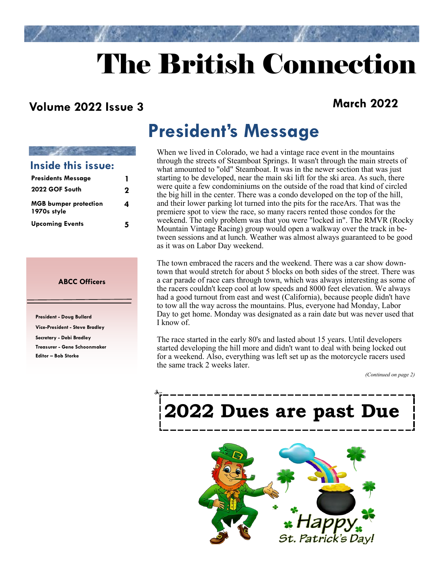# The British Connection

#### **Volume 2022 Issue 3 March 2022**

| Inside this issue:                          |   |
|---------------------------------------------|---|
| <b>Presidents Message</b>                   |   |
| 2022 GOF South                              | 2 |
| <b>MGB</b> bumper protection<br>1970s style | 4 |
| <b>Upcoming Events</b>                      |   |

#### **ABCC Officers**

**President - Doug Bullard Vice-President - Steve Bradley Secretary - Debi Bradley Treasurer - Gene Schoonmaker Editor – Bob Storke** 

# **President's Message**

When we lived in Colorado, we had a vintage race event in the mountains through the streets of Steamboat Springs. It wasn't through the main streets of what amounted to "old" Steamboat. It was in the newer section that was just starting to be developed, near the main ski lift for the ski area. As such, there were quite a few condominiums on the outside of the road that kind of circled the big hill in the center. There was a condo developed on the top of the hill, and their lower parking lot turned into the pits for the raceArs. That was the premiere spot to view the race, so many racers rented those condos for the weekend. The only problem was that you were "locked in". The RMVR (Rocky Mountain Vintage Racing) group would open a walkway over the track in between sessions and at lunch. Weather was almost always guaranteed to be good as it was on Labor Day weekend.

The town embraced the racers and the weekend. There was a car show downtown that would stretch for about 5 blocks on both sides of the street. There was a car parade of race cars through town, which was always interesting as some of the racers couldn't keep cool at low speeds and 8000 feet elevation. We always had a good turnout from east and west (California), because people didn't have to tow all the way across the mountains. Plus, everyone had Monday, Labor Day to get home. Monday was designated as a rain date but was never used that I know of.

The race started in the early 80's and lasted about 15 years. Until developers started developing the hill more and didn't want to deal with being locked out for a weekend. Also, everything was left set up as the motorcycle racers used the same track 2 weeks later.

*(Continued on page 2)*

# **2022 Dues are past Due**

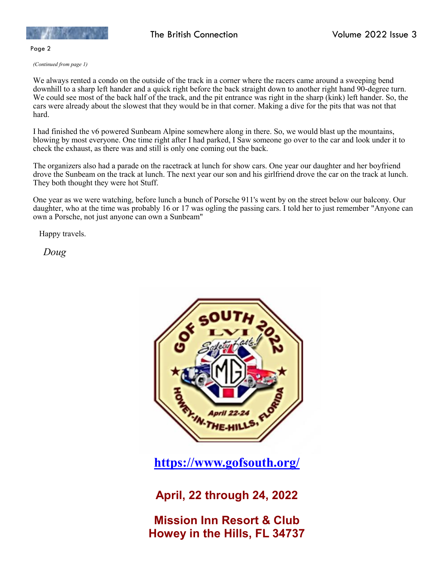

Page 2

*(Continued from page 1)*

We always rented a condo on the outside of the track in a corner where the racers came around a sweeping bend downhill to a sharp left hander and a quick right before the back straight down to another right hand 90-degree turn. We could see most of the back half of the track, and the pit entrance was right in the sharp (kink) left hander. So, the cars were already about the slowest that they would be in that corner. Making a dive for the pits that was not that hard.

I had finished the v6 powered Sunbeam Alpine somewhere along in there. So, we would blast up the mountains, blowing by most everyone. One time right after I had parked, I Saw someone go over to the car and look under it to check the exhaust, as there was and still is only one coming out the back.

The organizers also had a parade on the racetrack at lunch for show cars. One year our daughter and her boyfriend drove the Sunbeam on the track at lunch. The next year our son and his girlfriend drove the car on the track at lunch. They both thought they were hot Stuff.

One year as we were watching, before lunch a bunch of Porsche 911's went by on the street below our balcony. Our daughter, who at the time was probably 16 or 17 was ogling the passing cars. I told her to just remember "Anyone can own a Porsche, not just anyone can own a Sunbeam"

Happy travels.

*Doug*



**<https://www.gofsouth.org/>**

**April, 22 through 24, 2022**

**Mission Inn Resort & Club Howey in the Hills, FL 34737**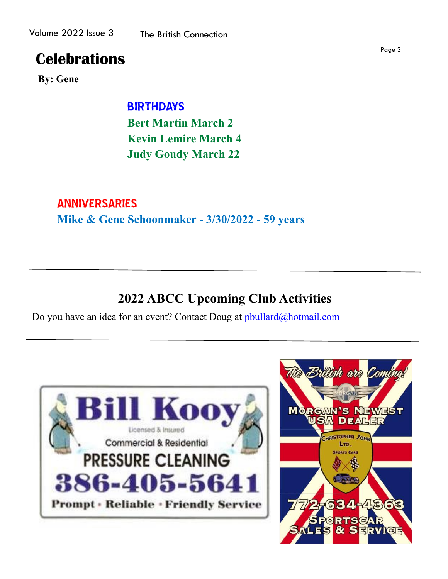### **Celebrations**

**By: Gene**

 BIRTHDAYS **Bert Martin March 2 Kevin Lemire March 4 Judy Goudy March 22**

#### ANNIVERSARIES

**Mike & Gene Schoonmaker - 3/30/2022 - 59 years**

### **2022 ABCC Upcoming Club Activities**

Do you have an idea for an event? Contact Doug at pbullard@hotmail.com



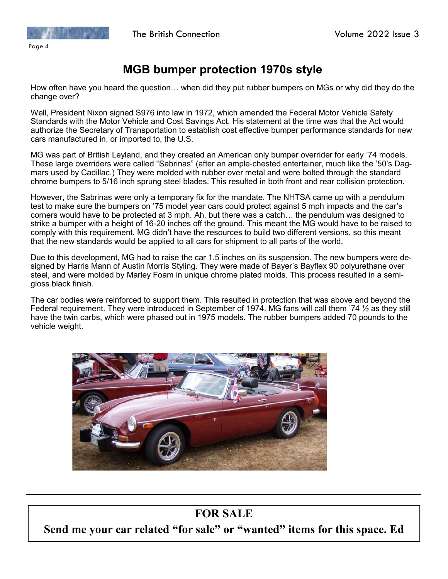

#### **MGB bumper protection 1970s style**

How often have you heard the question… when did they put rubber bumpers on MGs or why did they do the change over?

Well, President Nixon signed S976 into law in 1972, which amended the Federal Motor Vehicle Safety Standards with the Motor Vehicle and Cost Savings Act. His statement at the time was that the Act would authorize the Secretary of Transportation to establish cost effective bumper performance standards for new cars manufactured in, or imported to, the U.S.

MG was part of British Leyland, and they created an American only bumper overrider for early '74 models. These large overriders were called "Sabrinas" (after an ample-chested entertainer, much like the '50's Dagmars used by Cadillac.) They were molded with rubber over metal and were bolted through the standard chrome bumpers to 5/16 inch sprung steel blades. This resulted in both front and rear collision protection.

However, the Sabrinas were only a temporary fix for the mandate. The NHTSA came up with a pendulum test to make sure the bumpers on '75 model year cars could protect against 5 mph impacts and the car's corners would have to be protected at 3 mph. Ah, but there was a catch… the pendulum was designed to strike a bumper with a height of 16-20 inches off the ground. This meant the MG would have to be raised to comply with this requirement. MG didn't have the resources to build two different versions, so this meant that the new standards would be applied to all cars for shipment to all parts of the world.

Due to this development, MG had to raise the car 1.5 inches on its suspension. The new bumpers were designed by Harris Mann of Austin Morris Styling. They were made of Bayer's Bayflex 90 polyurethane over steel, and were molded by Marley Foam in unique chrome plated molds. This process resulted in a semigloss black finish.

The car bodies were reinforced to support them. This resulted in protection that was above and beyond the Federal requirement. They were introduced in September of 1974. MG fans will call them '74  $\frac{1}{2}$  as they still have the twin carbs, which were phased out in 1975 models. The rubber bumpers added 70 pounds to the vehicle weight.



#### **FOR SALE**

**Send me your car related "for sale" or "wanted" items for this space. Ed**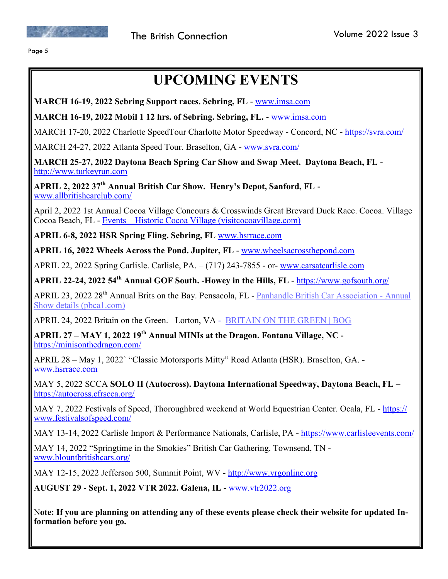

Page 5

# **UPCOMING EVENTS**

**MARCH 16-19, 2022 Sebring Support races. Sebring, FL** - [www.imsa.com](http://www.imsa.com)

**MARCH 16-19, 2022 Mobil 1 12 hrs. of Sebring. Sebring, FL.** - [www.imsa.com](http://www.imsa.com)

MARCH 17-20, 2022 Charlotte SpeedTour Charlotte Motor Speedway - Concord, NC - <https://svra.com/>

MARCH 24-27, 2022 Atlanta Speed Tour. Braselton, GA - [www.svra.com/](http://www.svra.com/)

**MARCH 25-27, 2022 Daytona Beach Spring Car Show and Swap Meet. Daytona Beach, FL** <http://www.turkeyrun.com>

**APRIL 2, 2022 37th Annual British Car Show. Henry's Depot, Sanford, FL**  [www.allbritishcarclub.com/](file:///C:/Users/Bob/Documents/CFTR/www.allbritishcarclub.com/)

April 2, 2022 [1st Annual Cocoa Village Concours & Crosswinds Great Brevard Duck Race.](https://visitcocoavillage.com/events/spring-car-show-and-crosswinds-great-brevard-duck-race/) Cocoa. Village Cocoa Beach, FL - Events – [Historic Cocoa Village \(visitcocoavillage.com\)](https://visitcocoavillage.com/events/)

**APRIL 6-8, 2022 HSR Spring Fling. Sebring, FL** [www.hsrrace.com](http://www.hsrrace.com)

**APRIL 16, 2022 Wheels Across the Pond. Jupiter, FL** - [www.wheelsacrossthepond.com](file:///C:/Users/rstor/Documents/CFTR/www.wheelsacrossthepond.com)

APRIL 22, 2022 Spring Carlisle. Carlisle, PA. – (717) 243-7855 - or- [www.carsatcarlisle.com](http://www.carsatcarlisle.com/)

**APRIL 22-24, 2022 54th Annual GOF South. -Howey in the Hills, FL** - <https://www.gofsouth.org/>

APRIL 23, 2022 28<sup>th</sup> Annual Brits on the Bay. Pensacola, FL - [Panhandle British Car Association -](http://pbca1.com/show.htm) Annual [Show details \(pbca1.com\)](http://pbca1.com/show.htm)

APRIL 24, 2022 Britain on the Green. –Lorton, VA - [BRITAIN ON THE GREEN | BOG](https://www.britainonthegreen.org/)

**APRIL 27 – MAY 1, 2022 19th Annual MINIs at the Dragon. Fontana Village, NC**  <https://minisonthedragon.com/>

APRIL 28 – May 1, 2022` "Classic Motorsports Mitty" Road Atlanta (HSR). Braselton, GA. [www.hsrrace.com](http://www.hsrrace.com)

MAY 5, 2022 SCCA **SOLO II (Autocross). Daytona International Speedway, Daytona Beach, FL –** <https://autocross.cfrscca.org/>

MAY 7, 2022 Festivals of Speed, Thoroughbred weekend at World Equestrian Center. Ocala, FL - [https://](https://www.festivalsofspeed.com/) [www.festivalsofspeed.com/](https://www.festivalsofspeed.com/)

MAY 13-14, 2022 Carlisle Import & Performance Nationals, Carlisle, PA - <https://www.carlisleevents.com/>

MAY 14, 2022 "Springtime in the Smokies" British Car Gathering. Townsend, TN [www.blountbritishcars.org/](http://www.blountbritishcars.org/)

MAY 12-15, 2022 Jefferson 500, Summit Point, WV - <http://www.vrgonline.org>

**AUGUST 29 - Sept. 1, 2022 VTR 2022. Galena, IL -** [www.vtr2022.org](http://www.vtr2022.org)

N**ote: If you are planning on attending any of these events please check their website for updated Information before you go.**